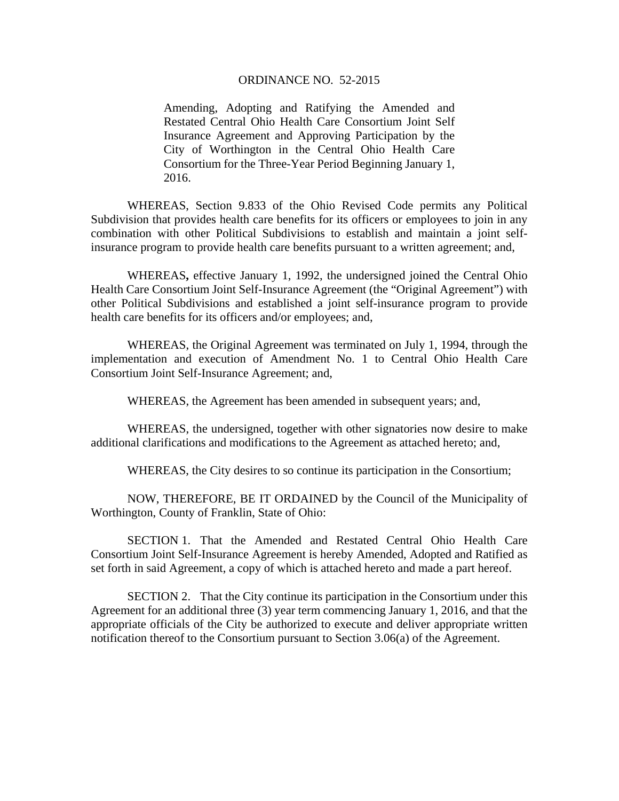#### ORDINANCE NO. 52-2015

Amending, Adopting and Ratifying the Amended and Restated Central Ohio Health Care Consortium Joint Self Insurance Agreement and Approving Participation by the City of Worthington in the Central Ohio Health Care Consortium for the Three-Year Period Beginning January 1, 2016.

WHEREAS, Section 9.833 of the Ohio Revised Code permits any Political Subdivision that provides health care benefits for its officers or employees to join in any combination with other Political Subdivisions to establish and maintain a joint selfinsurance program to provide health care benefits pursuant to a written agreement; and,

 WHEREAS**,** effective January 1, 1992, the undersigned joined the Central Ohio Health Care Consortium Joint Self-Insurance Agreement (the "Original Agreement") with other Political Subdivisions and established a joint self-insurance program to provide health care benefits for its officers and/or employees; and,

 WHEREAS, the Original Agreement was terminated on July 1, 1994, through the implementation and execution of Amendment No. 1 to Central Ohio Health Care Consortium Joint Self-Insurance Agreement; and,

WHEREAS, the Agreement has been amended in subsequent years; and,

WHEREAS, the undersigned, together with other signatories now desire to make additional clarifications and modifications to the Agreement as attached hereto; and,

WHEREAS, the City desires to so continue its participation in the Consortium;

 NOW, THEREFORE, BE IT ORDAINED by the Council of the Municipality of Worthington, County of Franklin, State of Ohio:

 SECTION 1. That the Amended and Restated Central Ohio Health Care Consortium Joint Self-Insurance Agreement is hereby Amended, Adopted and Ratified as set forth in said Agreement, a copy of which is attached hereto and made a part hereof.

 SECTION 2. That the City continue its participation in the Consortium under this Agreement for an additional three (3) year term commencing January 1, 2016, and that the appropriate officials of the City be authorized to execute and deliver appropriate written notification thereof to the Consortium pursuant to Section 3.06(a) of the Agreement.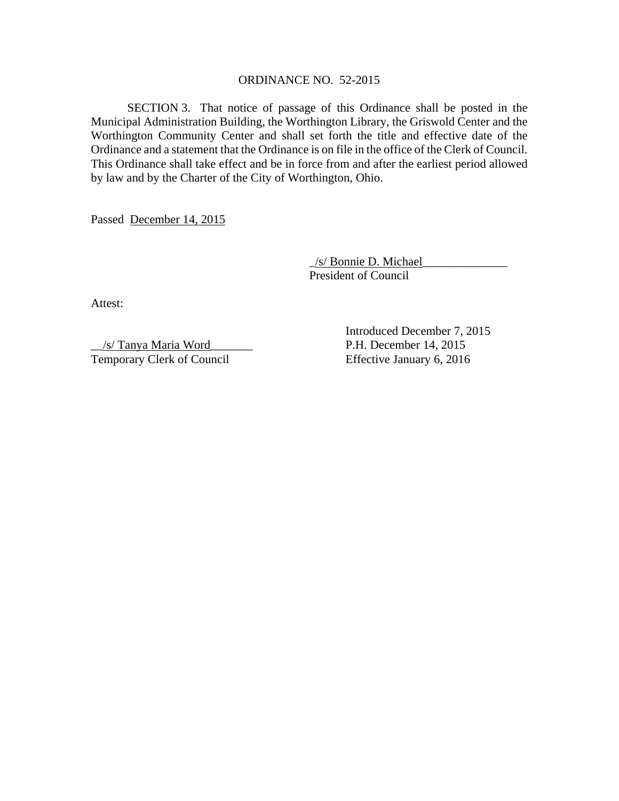#### ORDINANCE NO. 52-2015

SECTION 3. That notice of passage of this Ordinance shall be posted in the Municipal Administration Building, the Worthington Library, the Griswold Center and the Worthington Community Center and shall set forth the title and effective date of the Ordinance and a statement that the Ordinance is on file in the office of the Clerk of Council. This Ordinance shall take effect and be in force from and after the earliest period allowed by law and by the Charter of the City of Worthington, Ohio.

Passed December 14, 2015

 \_/s/ Bonnie D. Michael\_\_\_\_\_\_\_\_\_\_\_\_\_\_ President of Council

Attest:

\_\_/s/ Tanya Maria Word\_\_\_\_\_\_\_ P.H. December 14, 2015 Temporary Clerk of Council Effective January 6, 2016

Introduced December 7, 2015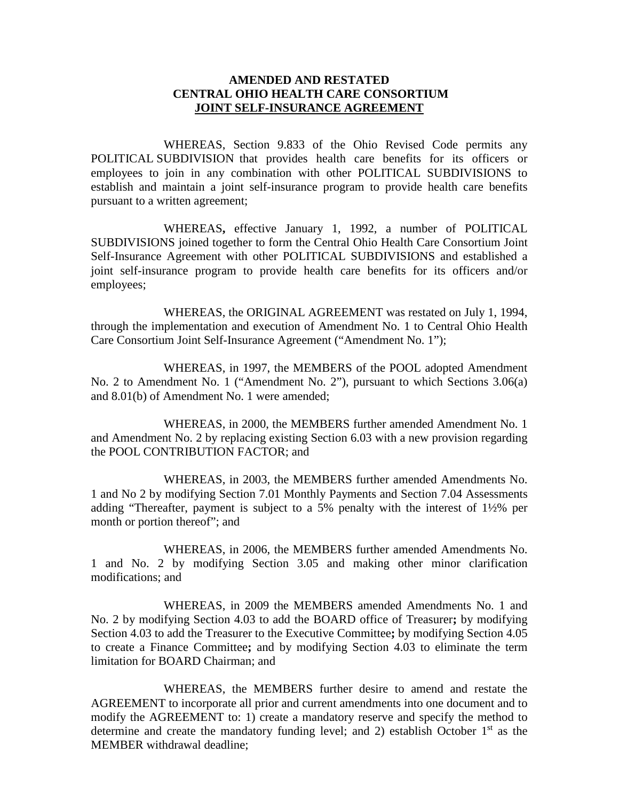## **AMENDED AND RESTATED CENTRAL OHIO HEALTH CARE CONSORTIUM JOINT SELF-INSURANCE AGREEMENT**

WHEREAS, Section 9.833 of the Ohio Revised Code permits any POLITICAL SUBDIVISION that provides health care benefits for its officers or employees to join in any combination with other POLITICAL SUBDIVISIONS to establish and maintain a joint self-insurance program to provide health care benefits pursuant to a written agreement;

WHEREAS**,** effective January 1, 1992, a number of POLITICAL SUBDIVISIONS joined together to form the Central Ohio Health Care Consortium Joint Self-Insurance Agreement with other POLITICAL SUBDIVISIONS and established a joint self-insurance program to provide health care benefits for its officers and/or employees;

WHEREAS, the ORIGINAL AGREEMENT was restated on July 1, 1994, through the implementation and execution of Amendment No. 1 to Central Ohio Health Care Consortium Joint Self-Insurance Agreement ("Amendment No. 1");

WHEREAS, in 1997, the MEMBERS of the POOL adopted Amendment No. 2 to Amendment No. 1 ("Amendment No. 2"), pursuant to which Sections 3.06(a) and 8.01(b) of Amendment No. 1 were amended;

WHEREAS, in 2000, the MEMBERS further amended Amendment No. 1 and Amendment No. 2 by replacing existing Section 6.03 with a new provision regarding the POOL CONTRIBUTION FACTOR; and

WHEREAS, in 2003, the MEMBERS further amended Amendments No. 1 and No 2 by modifying Section 7.01 Monthly Payments and Section 7.04 Assessments adding "Thereafter, payment is subject to a 5% penalty with the interest of 1½% per month or portion thereof"; and

WHEREAS, in 2006, the MEMBERS further amended Amendments No. 1 and No. 2 by modifying Section 3.05 and making other minor clarification modifications; and

WHEREAS, in 2009 the MEMBERS amended Amendments No. 1 and No. 2 by modifying Section 4.03 to add the BOARD office of Treasurer**;** by modifying Section 4.03 to add the Treasurer to the Executive Committee**;** by modifying Section 4.05 to create a Finance Committee**;** and by modifying Section 4.03 to eliminate the term limitation for BOARD Chairman; and

WHEREAS, the MEMBERS further desire to amend and restate the AGREEMENT to incorporate all prior and current amendments into one document and to modify the AGREEMENT to: 1) create a mandatory reserve and specify the method to determine and create the mandatory funding level; and 2) establish October  $1<sup>st</sup>$  as the MEMBER withdrawal deadline;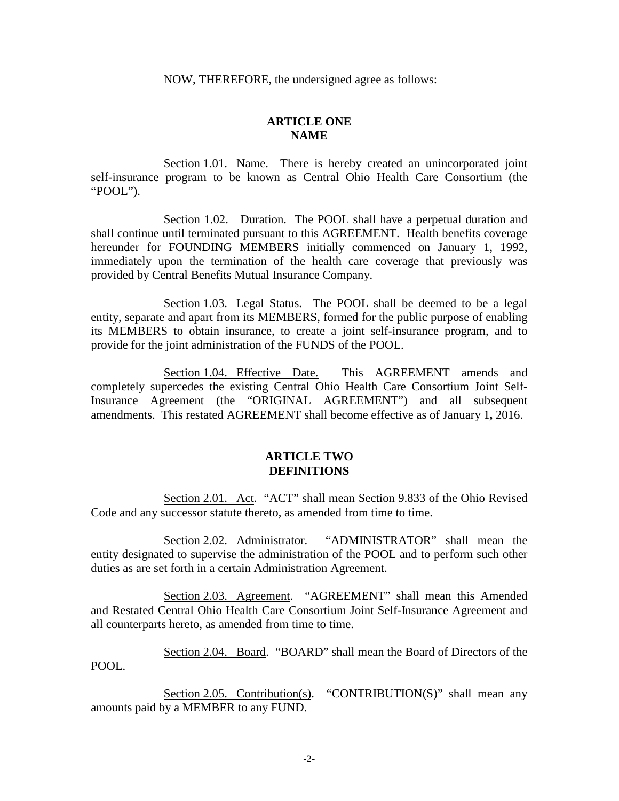NOW, THEREFORE, the undersigned agree as follows:

## **ARTICLE ONE NAME**

Section 1.01. Name. There is hereby created an unincorporated joint self-insurance program to be known as Central Ohio Health Care Consortium (the "POOL").

Section 1.02. Duration. The POOL shall have a perpetual duration and shall continue until terminated pursuant to this AGREEMENT. Health benefits coverage hereunder for FOUNDING MEMBERS initially commenced on January 1, 1992, immediately upon the termination of the health care coverage that previously was provided by Central Benefits Mutual Insurance Company.

Section 1.03. Legal Status. The POOL shall be deemed to be a legal entity, separate and apart from its MEMBERS, formed for the public purpose of enabling its MEMBERS to obtain insurance, to create a joint self-insurance program, and to provide for the joint administration of the FUNDS of the POOL.

Section 1.04. Effective Date. This AGREEMENT amends and completely supercedes the existing Central Ohio Health Care Consortium Joint Self-Insurance Agreement (the "ORIGINAL AGREEMENT") and all subsequent amendments. This restated AGREEMENT shall become effective as of January 1**,** 2016.

#### **ARTICLE TWO DEFINITIONS**

Section 2.01. Act. "ACT" shall mean Section 9.833 of the Ohio Revised Code and any successor statute thereto, as amended from time to time.

Section 2.02. Administrator. "ADMINISTRATOR" shall mean the entity designated to supervise the administration of the POOL and to perform such other duties as are set forth in a certain Administration Agreement.

Section 2.03. Agreement. "AGREEMENT" shall mean this Amended and Restated Central Ohio Health Care Consortium Joint Self-Insurance Agreement and all counterparts hereto, as amended from time to time.

Section 2.04. Board. "BOARD" shall mean the Board of Directors of the POOL.

Section 2.05. Contribution(s). "CONTRIBUTION(S)" shall mean any amounts paid by a MEMBER to any FUND.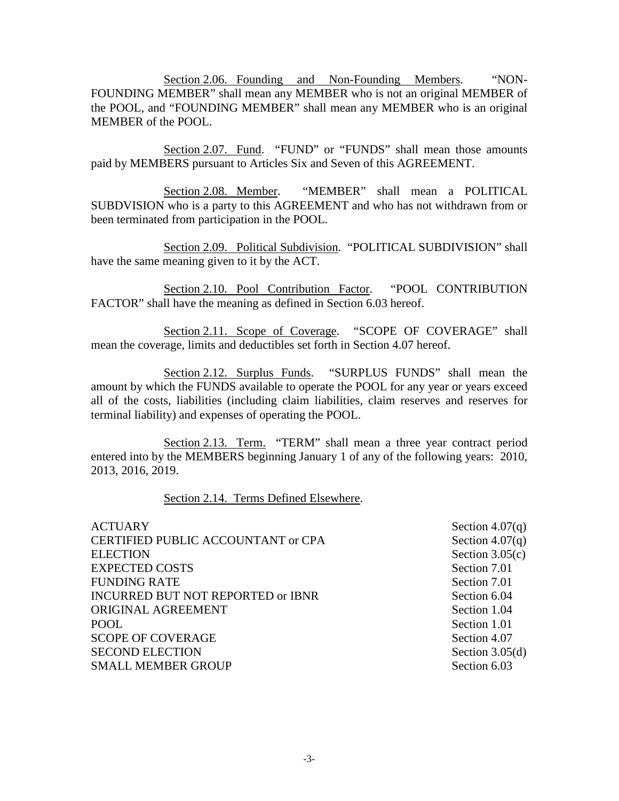Section 2.06. Founding and Non-Founding Members. "NON-FOUNDING MEMBER" shall mean any MEMBER who is not an original MEMBER of the POOL, and "FOUNDING MEMBER" shall mean any MEMBER who is an original MEMBER of the POOL.

Section 2.07. Fund. "FUND" or "FUNDS" shall mean those amounts paid by MEMBERS pursuant to Articles Six and Seven of this AGREEMENT.

Section 2.08. Member. "MEMBER" shall mean a POLITICAL SUBDVISION who is a party to this AGREEMENT and who has not withdrawn from or been terminated from participation in the POOL.

Section 2.09. Political Subdivision. "POLITICAL SUBDIVISION" shall have the same meaning given to it by the ACT.

Section 2.10. Pool Contribution Factor. "POOL CONTRIBUTION FACTOR" shall have the meaning as defined in Section 6.03 hereof.

Section 2.11. Scope of Coverage. "SCOPE OF COVERAGE" shall mean the coverage, limits and deductibles set forth in Section 4.07 hereof.

Section 2.12. Surplus Funds. "SURPLUS FUNDS" shall mean the amount by which the FUNDS available to operate the POOL for any year or years exceed all of the costs, liabilities (including claim liabilities, claim reserves and reserves for terminal liability) and expenses of operating the POOL.

Section 2.13. Term. "TERM" shall mean a three year contract period entered into by the MEMBERS beginning January 1 of any of the following years: 2010, 2013, 2016, 2019.

Section 2.14. Terms Defined Elsewhere.

| <b>ACTUARY</b>                            | Section $4.07(q)$ |
|-------------------------------------------|-------------------|
| <b>CERTIFIED PUBLIC ACCOUNTANT or CPA</b> | Section $4.07(q)$ |
| <b>ELECTION</b>                           | Section $3.05(c)$ |
| <b>EXPECTED COSTS</b>                     | Section 7.01      |
| <b>FUNDING RATE</b>                       | Section 7.01      |
| INCURRED BUT NOT REPORTED or IBNR         | Section 6.04      |
| ORIGINAL AGREEMENT                        | Section 1.04      |
| <b>POOL</b>                               | Section 1.01      |
| <b>SCOPE OF COVERAGE</b>                  | Section 4.07      |
| <b>SECOND ELECTION</b>                    | Section $3.05(d)$ |
| <b>SMALL MEMBER GROUP</b>                 | Section 6.03      |
|                                           |                   |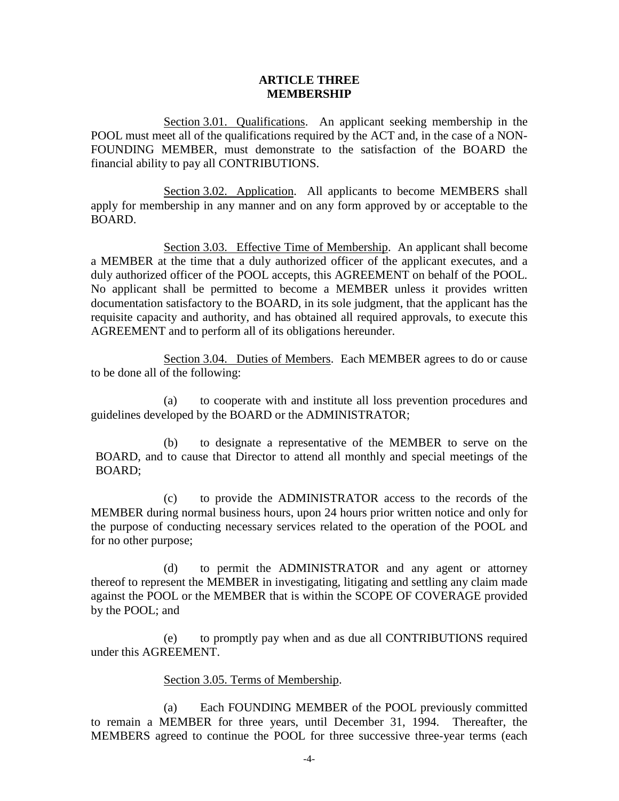### **ARTICLE THREE MEMBERSHIP**

Section 3.01. Qualifications. An applicant seeking membership in the POOL must meet all of the qualifications required by the ACT and, in the case of a NON-FOUNDING MEMBER, must demonstrate to the satisfaction of the BOARD the financial ability to pay all CONTRIBUTIONS.

Section 3.02. Application. All applicants to become MEMBERS shall apply for membership in any manner and on any form approved by or acceptable to the BOARD.

Section 3.03. Effective Time of Membership. An applicant shall become a MEMBER at the time that a duly authorized officer of the applicant executes, and a duly authorized officer of the POOL accepts, this AGREEMENT on behalf of the POOL. No applicant shall be permitted to become a MEMBER unless it provides written documentation satisfactory to the BOARD, in its sole judgment, that the applicant has the requisite capacity and authority, and has obtained all required approvals, to execute this AGREEMENT and to perform all of its obligations hereunder.

Section 3.04. Duties of Members. Each MEMBER agrees to do or cause to be done all of the following:

(a) to cooperate with and institute all loss prevention procedures and guidelines developed by the BOARD or the ADMINISTRATOR;

(b) to designate a representative of the MEMBER to serve on the BOARD, and to cause that Director to attend all monthly and special meetings of the BOARD;

(c) to provide the ADMINISTRATOR access to the records of the MEMBER during normal business hours, upon 24 hours prior written notice and only for the purpose of conducting necessary services related to the operation of the POOL and for no other purpose;

(d) to permit the ADMINISTRATOR and any agent or attorney thereof to represent the MEMBER in investigating, litigating and settling any claim made against the POOL or the MEMBER that is within the SCOPE OF COVERAGE provided by the POOL; and

(e) to promptly pay when and as due all CONTRIBUTIONS required under this AGREEMENT.

## Section 3.05. Terms of Membership.

(a) Each FOUNDING MEMBER of the POOL previously committed to remain a MEMBER for three years, until December 31, 1994. Thereafter, the MEMBERS agreed to continue the POOL for three successive three-year terms (each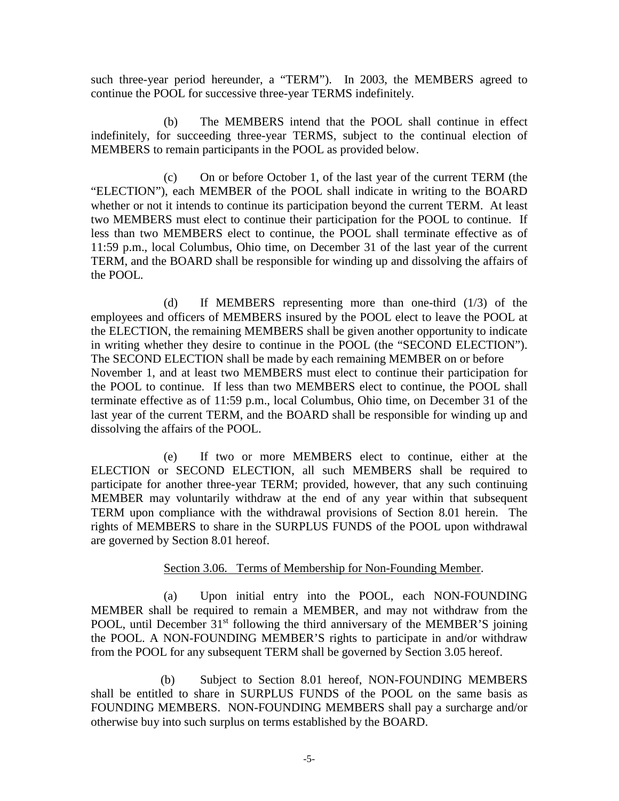such three-year period hereunder, a "TERM"). In 2003, the MEMBERS agreed to continue the POOL for successive three-year TERMS indefinitely.

 (b) The MEMBERS intend that the POOL shall continue in effect indefinitely, for succeeding three-year TERMS, subject to the continual election of MEMBERS to remain participants in the POOL as provided below.

 (c) On or before October 1, of the last year of the current TERM (the "ELECTION"), each MEMBER of the POOL shall indicate in writing to the BOARD whether or not it intends to continue its participation beyond the current TERM. At least two MEMBERS must elect to continue their participation for the POOL to continue. If less than two MEMBERS elect to continue, the POOL shall terminate effective as of 11:59 p.m., local Columbus, Ohio time, on December 31 of the last year of the current TERM, and the BOARD shall be responsible for winding up and dissolving the affairs of the POOL.

 (d) If MEMBERS representing more than one-third (1/3) of the employees and officers of MEMBERS insured by the POOL elect to leave the POOL at the ELECTION, the remaining MEMBERS shall be given another opportunity to indicate in writing whether they desire to continue in the POOL (the "SECOND ELECTION"). The SECOND ELECTION shall be made by each remaining MEMBER on or before November 1, and at least two MEMBERS must elect to continue their participation for the POOL to continue. If less than two MEMBERS elect to continue, the POOL shall terminate effective as of 11:59 p.m., local Columbus, Ohio time, on December 31 of the last year of the current TERM, and the BOARD shall be responsible for winding up and dissolving the affairs of the POOL.

 (e) If two or more MEMBERS elect to continue, either at the ELECTION or SECOND ELECTION, all such MEMBERS shall be required to participate for another three-year TERM; provided, however, that any such continuing MEMBER may voluntarily withdraw at the end of any year within that subsequent TERM upon compliance with the withdrawal provisions of Section 8.01 herein. The rights of MEMBERS to share in the SURPLUS FUNDS of the POOL upon withdrawal are governed by Section 8.01 hereof.

## Section 3.06. Terms of Membership for Non-Founding Member.

(a) Upon initial entry into the POOL, each NON-FOUNDING MEMBER shall be required to remain a MEMBER, and may not withdraw from the POOL, until December 31<sup>st</sup> following the third anniversary of the MEMBER'S joining the POOL. A NON-FOUNDING MEMBER'S rights to participate in and/or withdraw from the POOL for any subsequent TERM shall be governed by Section 3.05 hereof.

 (b) Subject to Section 8.01 hereof, NON-FOUNDING MEMBERS shall be entitled to share in SURPLUS FUNDS of the POOL on the same basis as FOUNDING MEMBERS. NON-FOUNDING MEMBERS shall pay a surcharge and/or otherwise buy into such surplus on terms established by the BOARD.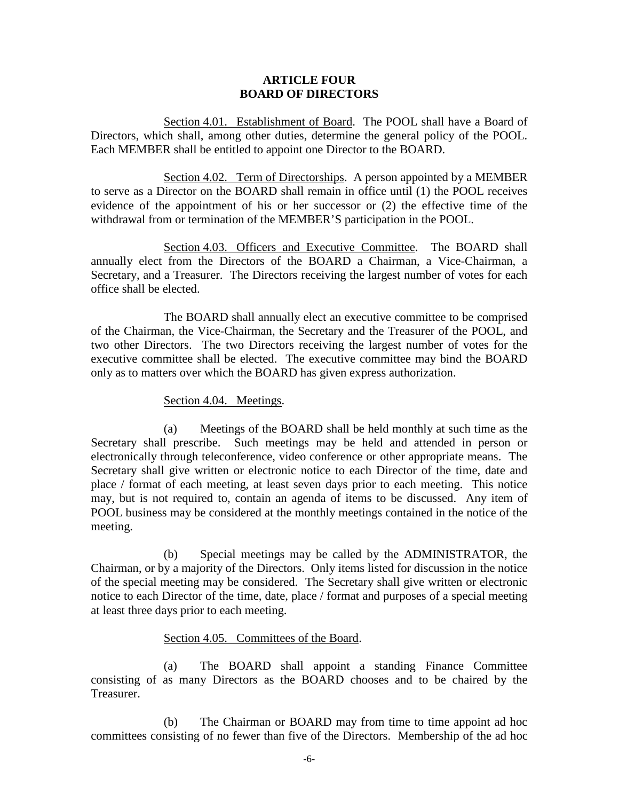### **ARTICLE FOUR BOARD OF DIRECTORS**

Section 4.01. Establishment of Board. The POOL shall have a Board of Directors, which shall, among other duties, determine the general policy of the POOL. Each MEMBER shall be entitled to appoint one Director to the BOARD.

Section 4.02. Term of Directorships. A person appointed by a MEMBER to serve as a Director on the BOARD shall remain in office until (1) the POOL receives evidence of the appointment of his or her successor or (2) the effective time of the withdrawal from or termination of the MEMBER'S participation in the POOL.

Section 4.03. Officers and Executive Committee. The BOARD shall annually elect from the Directors of the BOARD a Chairman, a Vice-Chairman, a Secretary, and a Treasurer. The Directors receiving the largest number of votes for each office shall be elected.

The BOARD shall annually elect an executive committee to be comprised of the Chairman, the Vice-Chairman, the Secretary and the Treasurer of the POOL, and two other Directors. The two Directors receiving the largest number of votes for the executive committee shall be elected. The executive committee may bind the BOARD only as to matters over which the BOARD has given express authorization.

### Section 4.04. Meetings.

(a) Meetings of the BOARD shall be held monthly at such time as the Secretary shall prescribe. Such meetings may be held and attended in person or electronically through teleconference, video conference or other appropriate means. The Secretary shall give written or electronic notice to each Director of the time, date and place / format of each meeting, at least seven days prior to each meeting. This notice may, but is not required to, contain an agenda of items to be discussed. Any item of POOL business may be considered at the monthly meetings contained in the notice of the meeting.

(b) Special meetings may be called by the ADMINISTRATOR, the Chairman, or by a majority of the Directors. Only items listed for discussion in the notice of the special meeting may be considered. The Secretary shall give written or electronic notice to each Director of the time, date, place / format and purposes of a special meeting at least three days prior to each meeting.

### Section 4.05. Committees of the Board.

(a) The BOARD shall appoint a standing Finance Committee consisting of as many Directors as the BOARD chooses and to be chaired by the Treasurer.

(b) The Chairman or BOARD may from time to time appoint ad hoc committees consisting of no fewer than five of the Directors. Membership of the ad hoc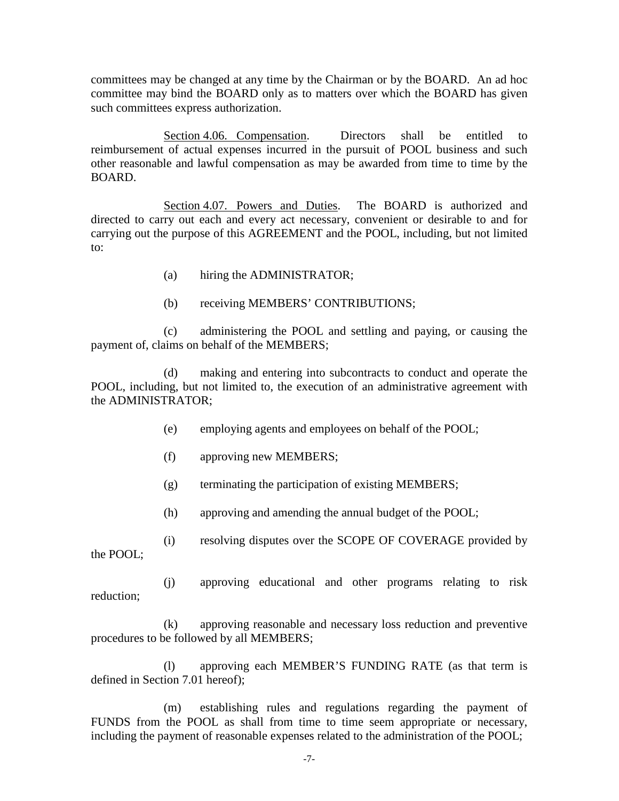committees may be changed at any time by the Chairman or by the BOARD. An ad hoc committee may bind the BOARD only as to matters over which the BOARD has given such committees express authorization.

Section 4.06. Compensation. Directors shall be entitled to reimbursement of actual expenses incurred in the pursuit of POOL business and such other reasonable and lawful compensation as may be awarded from time to time by the BOARD.

Section 4.07. Powers and Duties. The BOARD is authorized and directed to carry out each and every act necessary, convenient or desirable to and for carrying out the purpose of this AGREEMENT and the POOL, including, but not limited to:

- (a) hiring the ADMINISTRATOR;
- (b) receiving MEMBERS' CONTRIBUTIONS;

(c) administering the POOL and settling and paying, or causing the payment of, claims on behalf of the MEMBERS;

(d) making and entering into subcontracts to conduct and operate the POOL, including, but not limited to, the execution of an administrative agreement with the ADMINISTRATOR;

- (e) employing agents and employees on behalf of the POOL;
- (f) approving new MEMBERS;
- (g) terminating the participation of existing MEMBERS;
- (h) approving and amending the annual budget of the POOL;
- (i) resolving disputes over the SCOPE OF COVERAGE provided by

the POOL;

(j) approving educational and other programs relating to risk reduction;

(k) approving reasonable and necessary loss reduction and preventive procedures to be followed by all MEMBERS;

(l) approving each MEMBER'S FUNDING RATE (as that term is defined in Section 7.01 hereof);

(m) establishing rules and regulations regarding the payment of FUNDS from the POOL as shall from time to time seem appropriate or necessary, including the payment of reasonable expenses related to the administration of the POOL;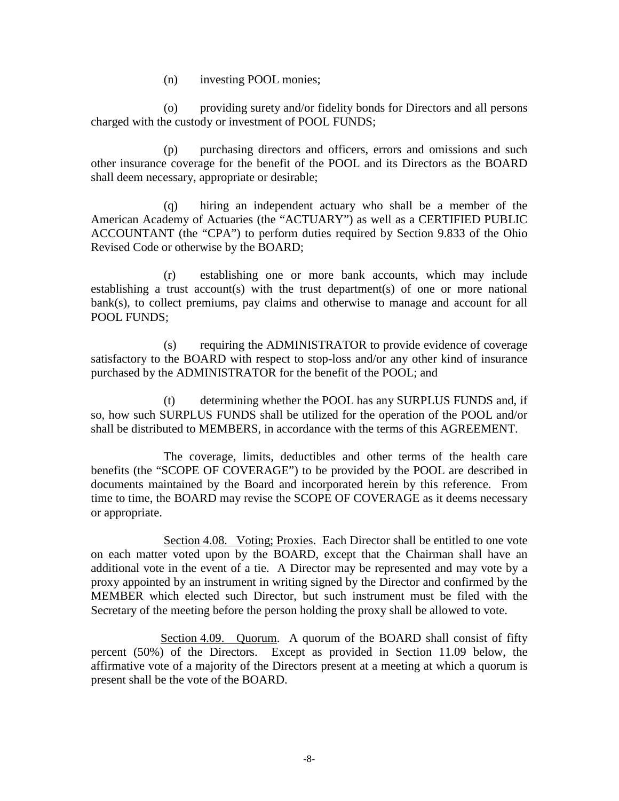(n) investing POOL monies;

(o) providing surety and/or fidelity bonds for Directors and all persons charged with the custody or investment of POOL FUNDS;

(p) purchasing directors and officers, errors and omissions and such other insurance coverage for the benefit of the POOL and its Directors as the BOARD shall deem necessary, appropriate or desirable;

(q) hiring an independent actuary who shall be a member of the American Academy of Actuaries (the "ACTUARY") as well as a CERTIFIED PUBLIC ACCOUNTANT (the "CPA") to perform duties required by Section 9.833 of the Ohio Revised Code or otherwise by the BOARD;

(r) establishing one or more bank accounts, which may include establishing a trust account(s) with the trust department(s) of one or more national bank(s), to collect premiums, pay claims and otherwise to manage and account for all POOL FUNDS;

(s) requiring the ADMINISTRATOR to provide evidence of coverage satisfactory to the BOARD with respect to stop-loss and/or any other kind of insurance purchased by the ADMINISTRATOR for the benefit of the POOL; and

(t) determining whether the POOL has any SURPLUS FUNDS and, if so, how such SURPLUS FUNDS shall be utilized for the operation of the POOL and/or shall be distributed to MEMBERS, in accordance with the terms of this AGREEMENT.

 The coverage, limits, deductibles and other terms of the health care benefits (the "SCOPE OF COVERAGE") to be provided by the POOL are described in documents maintained by the Board and incorporated herein by this reference. From time to time, the BOARD may revise the SCOPE OF COVERAGE as it deems necessary or appropriate.

 Section 4.08. Voting; Proxies. Each Director shall be entitled to one vote on each matter voted upon by the BOARD, except that the Chairman shall have an additional vote in the event of a tie. A Director may be represented and may vote by a proxy appointed by an instrument in writing signed by the Director and confirmed by the MEMBER which elected such Director, but such instrument must be filed with the Secretary of the meeting before the person holding the proxy shall be allowed to vote.

 Section 4.09. Quorum. A quorum of the BOARD shall consist of fifty percent (50%) of the Directors. Except as provided in Section 11.09 below, the affirmative vote of a majority of the Directors present at a meeting at which a quorum is present shall be the vote of the BOARD.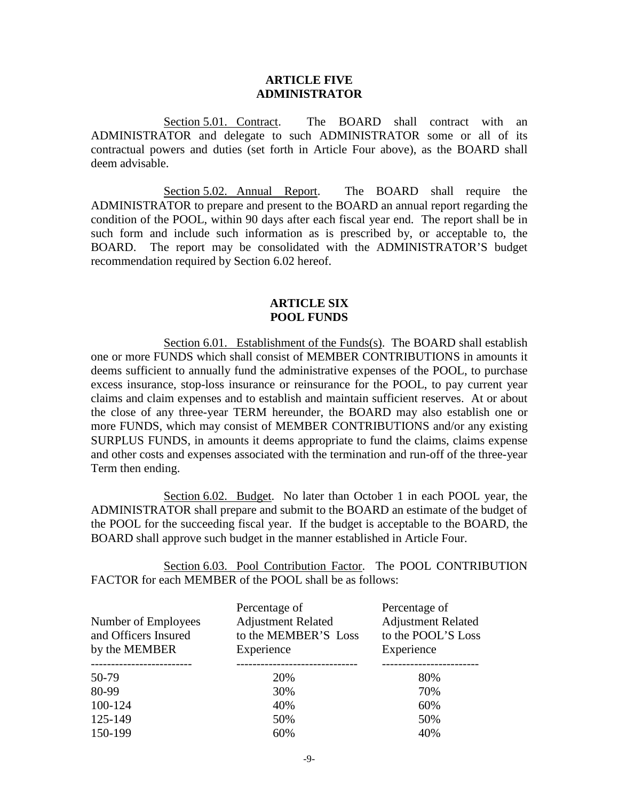### **ARTICLE FIVE ADMINISTRATOR**

Section 5.01. Contract. The BOARD shall contract with an ADMINISTRATOR and delegate to such ADMINISTRATOR some or all of its contractual powers and duties (set forth in Article Four above), as the BOARD shall deem advisable.

Section 5.02. Annual Report. The BOARD shall require the ADMINISTRATOR to prepare and present to the BOARD an annual report regarding the condition of the POOL, within 90 days after each fiscal year end. The report shall be in such form and include such information as is prescribed by, or acceptable to, the BOARD. The report may be consolidated with the ADMINISTRATOR'S budget recommendation required by Section 6.02 hereof.

## **ARTICLE SIX POOL FUNDS**

Section 6.01. Establishment of the Funds(s). The BOARD shall establish one or more FUNDS which shall consist of MEMBER CONTRIBUTIONS in amounts it deems sufficient to annually fund the administrative expenses of the POOL, to purchase excess insurance, stop-loss insurance or reinsurance for the POOL, to pay current year claims and claim expenses and to establish and maintain sufficient reserves. At or about the close of any three-year TERM hereunder, the BOARD may also establish one or more FUNDS, which may consist of MEMBER CONTRIBUTIONS and/or any existing SURPLUS FUNDS, in amounts it deems appropriate to fund the claims, claims expense and other costs and expenses associated with the termination and run-off of the three-year Term then ending.

Section 6.02. Budget. No later than October 1 in each POOL year, the ADMINISTRATOR shall prepare and submit to the BOARD an estimate of the budget of the POOL for the succeeding fiscal year. If the budget is acceptable to the BOARD, the BOARD shall approve such budget in the manner established in Article Four.

Section 6.03. Pool Contribution Factor. The POOL CONTRIBUTION FACTOR for each MEMBER of the POOL shall be as follows:

| Number of Employees<br>and Officers Insured<br>by the MEMBER | Percentage of<br><b>Adjustment Related</b><br>to the MEMBER'S Loss<br>Experience | Percentage of<br><b>Adjustment Related</b><br>to the POOL'S Loss<br>Experience |
|--------------------------------------------------------------|----------------------------------------------------------------------------------|--------------------------------------------------------------------------------|
| 50-79                                                        | 20%                                                                              | 80%                                                                            |
| 80-99                                                        | 30%                                                                              | 70%                                                                            |
| 100-124                                                      | 40%                                                                              | 60%                                                                            |
| 125-149                                                      | 50%                                                                              | 50%                                                                            |
| 150-199                                                      | 60%                                                                              | 40%                                                                            |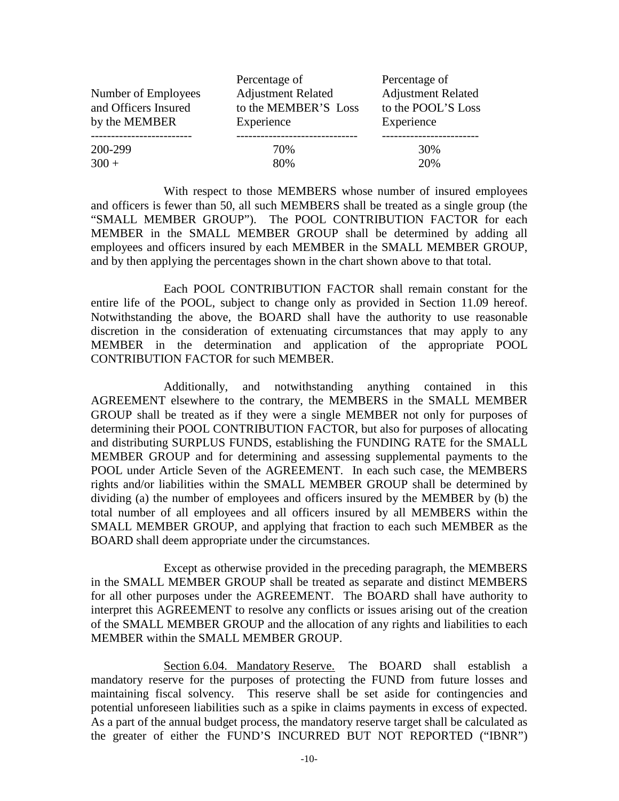| Number of Employees                   | Percentage of<br><b>Adjustment Related</b> | Percentage of<br><b>Adjustment Related</b> |
|---------------------------------------|--------------------------------------------|--------------------------------------------|
| and Officers Insured<br>by the MEMBER | to the MEMBER'S Loss<br>Experience         | to the POOL'S Loss<br>Experience           |
| 200-299                               | 70%                                        | 30%                                        |
| $300 +$                               | 80%                                        | 20%                                        |

With respect to those MEMBERS whose number of insured employees and officers is fewer than 50, all such MEMBERS shall be treated as a single group (the "SMALL MEMBER GROUP"). The POOL CONTRIBUTION FACTOR for each MEMBER in the SMALL MEMBER GROUP shall be determined by adding all employees and officers insured by each MEMBER in the SMALL MEMBER GROUP, and by then applying the percentages shown in the chart shown above to that total.

Each POOL CONTRIBUTION FACTOR shall remain constant for the entire life of the POOL, subject to change only as provided in Section 11.09 hereof. Notwithstanding the above, the BOARD shall have the authority to use reasonable discretion in the consideration of extenuating circumstances that may apply to any MEMBER in the determination and application of the appropriate POOL CONTRIBUTION FACTOR for such MEMBER.

Additionally, and notwithstanding anything contained in this AGREEMENT elsewhere to the contrary, the MEMBERS in the SMALL MEMBER GROUP shall be treated as if they were a single MEMBER not only for purposes of determining their POOL CONTRIBUTION FACTOR, but also for purposes of allocating and distributing SURPLUS FUNDS, establishing the FUNDING RATE for the SMALL MEMBER GROUP and for determining and assessing supplemental payments to the POOL under Article Seven of the AGREEMENT. In each such case, the MEMBERS rights and/or liabilities within the SMALL MEMBER GROUP shall be determined by dividing (a) the number of employees and officers insured by the MEMBER by (b) the total number of all employees and all officers insured by all MEMBERS within the SMALL MEMBER GROUP, and applying that fraction to each such MEMBER as the BOARD shall deem appropriate under the circumstances.

Except as otherwise provided in the preceding paragraph, the MEMBERS in the SMALL MEMBER GROUP shall be treated as separate and distinct MEMBERS for all other purposes under the AGREEMENT. The BOARD shall have authority to interpret this AGREEMENT to resolve any conflicts or issues arising out of the creation of the SMALL MEMBER GROUP and the allocation of any rights and liabilities to each MEMBER within the SMALL MEMBER GROUP.

Section 6.04. Mandatory Reserve. The BOARD shall establish a mandatory reserve for the purposes of protecting the FUND from future losses and maintaining fiscal solvency. This reserve shall be set aside for contingencies and potential unforeseen liabilities such as a spike in claims payments in excess of expected. As a part of the annual budget process, the mandatory reserve target shall be calculated as the greater of either the FUND'S INCURRED BUT NOT REPORTED ("IBNR")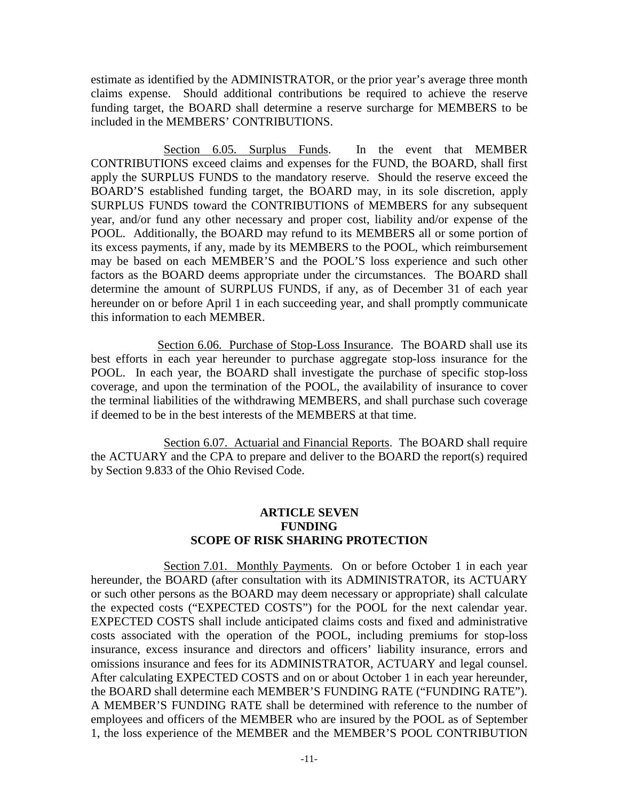estimate as identified by the ADMINISTRATOR, or the prior year's average three month claims expense. Should additional contributions be required to achieve the reserve funding target, the BOARD shall determine a reserve surcharge for MEMBERS to be included in the MEMBERS' CONTRIBUTIONS.

Section 6.05. Surplus Funds. In the event that MEMBER CONTRIBUTIONS exceed claims and expenses for the FUND, the BOARD, shall first apply the SURPLUS FUNDS to the mandatory reserve. Should the reserve exceed the BOARD'S established funding target, the BOARD may, in its sole discretion, apply SURPLUS FUNDS toward the CONTRIBUTIONS of MEMBERS for any subsequent year, and/or fund any other necessary and proper cost, liability and/or expense of the POOL. Additionally, the BOARD may refund to its MEMBERS all or some portion of its excess payments, if any, made by its MEMBERS to the POOL, which reimbursement may be based on each MEMBER'S and the POOL'S loss experience and such other factors as the BOARD deems appropriate under the circumstances. The BOARD shall determine the amount of SURPLUS FUNDS, if any, as of December 31 of each year hereunder on or before April 1 in each succeeding year, and shall promptly communicate this information to each MEMBER.

Section 6.06. Purchase of Stop-Loss Insurance. The BOARD shall use its best efforts in each year hereunder to purchase aggregate stop-loss insurance for the POOL. In each year, the BOARD shall investigate the purchase of specific stop-loss coverage, and upon the termination of the POOL, the availability of insurance to cover the terminal liabilities of the withdrawing MEMBERS, and shall purchase such coverage if deemed to be in the best interests of the MEMBERS at that time.

Section 6.07. Actuarial and Financial Reports. The BOARD shall require the ACTUARY and the CPA to prepare and deliver to the BOARD the report(s) required by Section 9.833 of the Ohio Revised Code.

# **ARTICLE SEVEN FUNDING SCOPE OF RISK SHARING PROTECTION**

Section 7.01. Monthly Payments. On or before October 1 in each year hereunder, the BOARD (after consultation with its ADMINISTRATOR, its ACTUARY or such other persons as the BOARD may deem necessary or appropriate) shall calculate the expected costs ("EXPECTED COSTS") for the POOL for the next calendar year. EXPECTED COSTS shall include anticipated claims costs and fixed and administrative costs associated with the operation of the POOL, including premiums for stop-loss insurance, excess insurance and directors and officers' liability insurance, errors and omissions insurance and fees for its ADMINISTRATOR, ACTUARY and legal counsel. After calculating EXPECTED COSTS and on or about October 1 in each year hereunder, the BOARD shall determine each MEMBER'S FUNDING RATE ("FUNDING RATE"). A MEMBER'S FUNDING RATE shall be determined with reference to the number of employees and officers of the MEMBER who are insured by the POOL as of September 1, the loss experience of the MEMBER and the MEMBER'S POOL CONTRIBUTION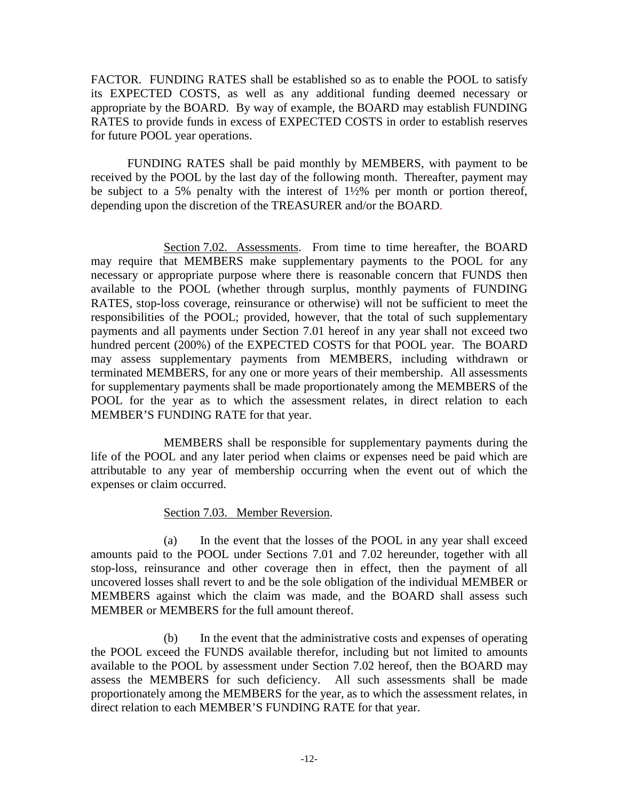FACTOR. FUNDING RATES shall be established so as to enable the POOL to satisfy its EXPECTED COSTS, as well as any additional funding deemed necessary or appropriate by the BOARD. By way of example, the BOARD may establish FUNDING RATES to provide funds in excess of EXPECTED COSTS in order to establish reserves for future POOL year operations.

FUNDING RATES shall be paid monthly by MEMBERS, with payment to be received by the POOL by the last day of the following month. Thereafter, payment may be subject to a 5% penalty with the interest of 1½% per month or portion thereof, depending upon the discretion of the TREASURER and/or the BOARD.

Section 7.02. Assessments. From time to time hereafter, the BOARD may require that MEMBERS make supplementary payments to the POOL for any necessary or appropriate purpose where there is reasonable concern that FUNDS then available to the POOL (whether through surplus, monthly payments of FUNDING RATES, stop-loss coverage, reinsurance or otherwise) will not be sufficient to meet the responsibilities of the POOL; provided, however, that the total of such supplementary payments and all payments under Section 7.01 hereof in any year shall not exceed two hundred percent (200%) of the EXPECTED COSTS for that POOL year. The BOARD may assess supplementary payments from MEMBERS, including withdrawn or terminated MEMBERS, for any one or more years of their membership. All assessments for supplementary payments shall be made proportionately among the MEMBERS of the POOL for the year as to which the assessment relates, in direct relation to each MEMBER'S FUNDING RATE for that year.

MEMBERS shall be responsible for supplementary payments during the life of the POOL and any later period when claims or expenses need be paid which are attributable to any year of membership occurring when the event out of which the expenses or claim occurred.

## Section 7.03. Member Reversion.

(a) In the event that the losses of the POOL in any year shall exceed amounts paid to the POOL under Sections 7.01 and 7.02 hereunder, together with all stop-loss, reinsurance and other coverage then in effect, then the payment of all uncovered losses shall revert to and be the sole obligation of the individual MEMBER or MEMBERS against which the claim was made, and the BOARD shall assess such MEMBER or MEMBERS for the full amount thereof.

(b) In the event that the administrative costs and expenses of operating the POOL exceed the FUNDS available therefor, including but not limited to amounts available to the POOL by assessment under Section 7.02 hereof, then the BOARD may assess the MEMBERS for such deficiency. All such assessments shall be made proportionately among the MEMBERS for the year, as to which the assessment relates, in direct relation to each MEMBER'S FUNDING RATE for that year.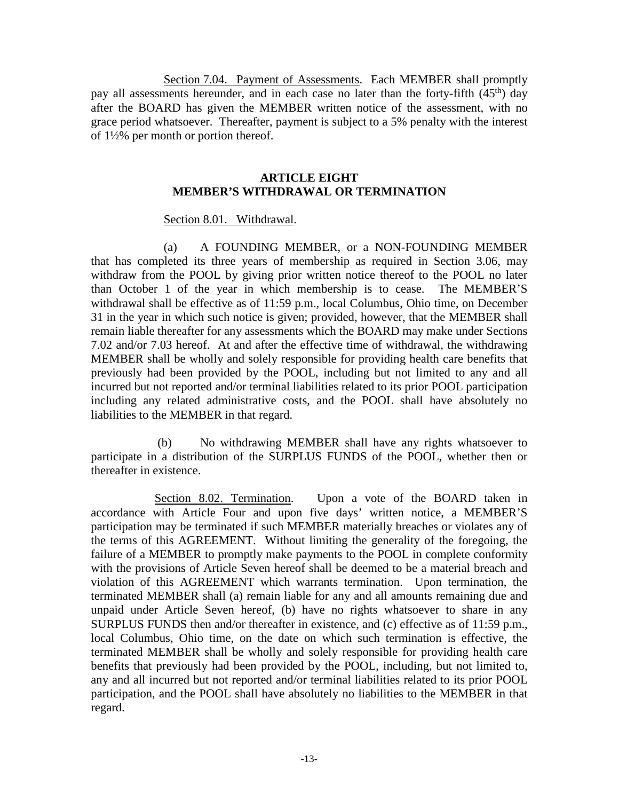Section 7.04. Payment of Assessments. Each MEMBER shall promptly pay all assessments hereunder, and in each case no later than the forty-fifth  $(45<sup>th</sup>)$  day after the BOARD has given the MEMBER written notice of the assessment, with no grace period whatsoever. Thereafter, payment is subject to a 5% penalty with the interest of 1½% per month or portion thereof.

## **ARTICLE EIGHT MEMBER'S WITHDRAWAL OR TERMINATION**

## Section 8.01. Withdrawal.

(a) A FOUNDING MEMBER, or a NON-FOUNDING MEMBER that has completed its three years of membership as required in Section 3.06, may withdraw from the POOL by giving prior written notice thereof to the POOL no later than October 1 of the year in which membership is to cease. The MEMBER'S withdrawal shall be effective as of 11:59 p.m., local Columbus, Ohio time, on December 31 in the year in which such notice is given; provided, however, that the MEMBER shall remain liable thereafter for any assessments which the BOARD may make under Sections 7.02 and/or 7.03 hereof. At and after the effective time of withdrawal, the withdrawing MEMBER shall be wholly and solely responsible for providing health care benefits that previously had been provided by the POOL, including but not limited to any and all incurred but not reported and/or terminal liabilities related to its prior POOL participation including any related administrative costs, and the POOL shall have absolutely no liabilities to the MEMBER in that regard.

 (b) No withdrawing MEMBER shall have any rights whatsoever to participate in a distribution of the SURPLUS FUNDS of the POOL, whether then or thereafter in existence.

 Section 8.02. Termination. Upon a vote of the BOARD taken in accordance with Article Four and upon five days' written notice, a MEMBER'S participation may be terminated if such MEMBER materially breaches or violates any of the terms of this AGREEMENT. Without limiting the generality of the foregoing, the failure of a MEMBER to promptly make payments to the POOL in complete conformity with the provisions of Article Seven hereof shall be deemed to be a material breach and violation of this AGREEMENT which warrants termination. Upon termination, the terminated MEMBER shall (a) remain liable for any and all amounts remaining due and unpaid under Article Seven hereof, (b) have no rights whatsoever to share in any SURPLUS FUNDS then and/or thereafter in existence, and (c) effective as of 11:59 p.m., local Columbus, Ohio time, on the date on which such termination is effective, the terminated MEMBER shall be wholly and solely responsible for providing health care benefits that previously had been provided by the POOL, including, but not limited to, any and all incurred but not reported and/or terminal liabilities related to its prior POOL participation, and the POOL shall have absolutely no liabilities to the MEMBER in that regard.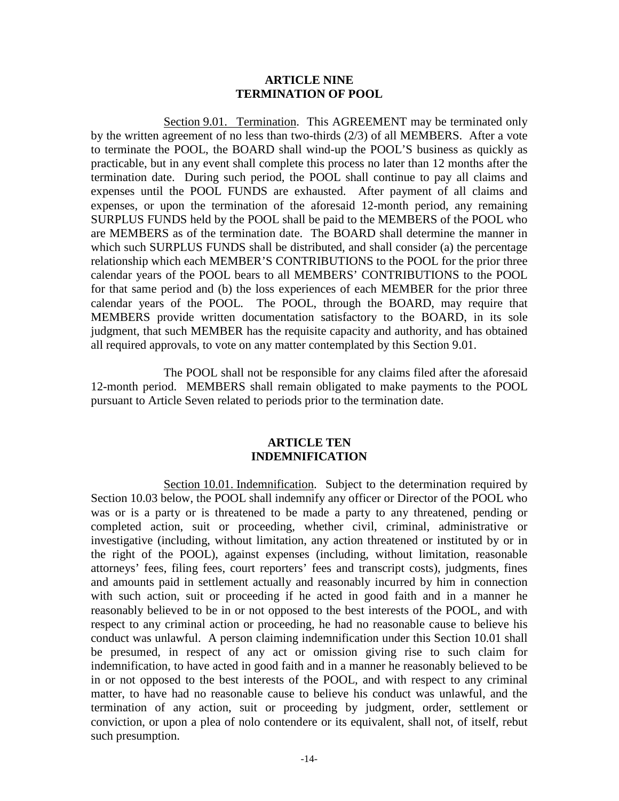### **ARTICLE NINE TERMINATION OF POOL**

Section 9.01. Termination. This AGREEMENT may be terminated only by the written agreement of no less than two-thirds (2/3) of all MEMBERS. After a vote to terminate the POOL, the BOARD shall wind-up the POOL'S business as quickly as practicable, but in any event shall complete this process no later than 12 months after the termination date. During such period, the POOL shall continue to pay all claims and expenses until the POOL FUNDS are exhausted. After payment of all claims and expenses, or upon the termination of the aforesaid 12-month period, any remaining SURPLUS FUNDS held by the POOL shall be paid to the MEMBERS of the POOL who are MEMBERS as of the termination date. The BOARD shall determine the manner in which such SURPLUS FUNDS shall be distributed, and shall consider (a) the percentage relationship which each MEMBER'S CONTRIBUTIONS to the POOL for the prior three calendar years of the POOL bears to all MEMBERS' CONTRIBUTIONS to the POOL for that same period and (b) the loss experiences of each MEMBER for the prior three calendar years of the POOL. The POOL, through the BOARD, may require that MEMBERS provide written documentation satisfactory to the BOARD, in its sole judgment, that such MEMBER has the requisite capacity and authority, and has obtained all required approvals, to vote on any matter contemplated by this Section 9.01.

The POOL shall not be responsible for any claims filed after the aforesaid 12-month period. MEMBERS shall remain obligated to make payments to the POOL pursuant to Article Seven related to periods prior to the termination date.

### **ARTICLE TEN INDEMNIFICATION**

Section 10.01. Indemnification. Subject to the determination required by Section 10.03 below, the POOL shall indemnify any officer or Director of the POOL who was or is a party or is threatened to be made a party to any threatened, pending or completed action, suit or proceeding, whether civil, criminal, administrative or investigative (including, without limitation, any action threatened or instituted by or in the right of the POOL), against expenses (including, without limitation, reasonable attorneys' fees, filing fees, court reporters' fees and transcript costs), judgments, fines and amounts paid in settlement actually and reasonably incurred by him in connection with such action, suit or proceeding if he acted in good faith and in a manner he reasonably believed to be in or not opposed to the best interests of the POOL, and with respect to any criminal action or proceeding, he had no reasonable cause to believe his conduct was unlawful. A person claiming indemnification under this Section 10.01 shall be presumed, in respect of any act or omission giving rise to such claim for indemnification, to have acted in good faith and in a manner he reasonably believed to be in or not opposed to the best interests of the POOL, and with respect to any criminal matter, to have had no reasonable cause to believe his conduct was unlawful, and the termination of any action, suit or proceeding by judgment, order, settlement or conviction, or upon a plea of nolo contendere or its equivalent, shall not, of itself, rebut such presumption.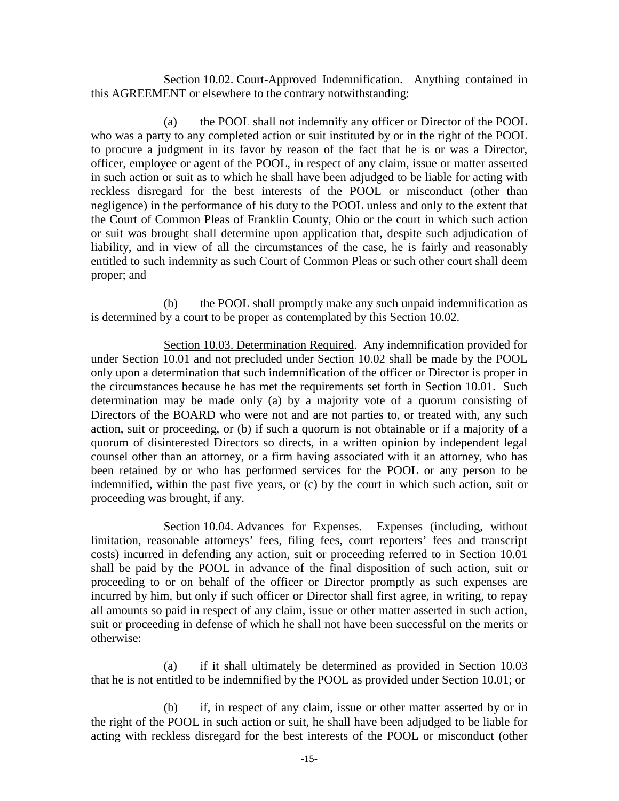Section 10.02. Court-Approved Indemnification. Anything contained in this AGREEMENT or elsewhere to the contrary notwithstanding:

(a) the POOL shall not indemnify any officer or Director of the POOL who was a party to any completed action or suit instituted by or in the right of the POOL to procure a judgment in its favor by reason of the fact that he is or was a Director, officer, employee or agent of the POOL, in respect of any claim, issue or matter asserted in such action or suit as to which he shall have been adjudged to be liable for acting with reckless disregard for the best interests of the POOL or misconduct (other than negligence) in the performance of his duty to the POOL unless and only to the extent that the Court of Common Pleas of Franklin County, Ohio or the court in which such action or suit was brought shall determine upon application that, despite such adjudication of liability, and in view of all the circumstances of the case, he is fairly and reasonably entitled to such indemnity as such Court of Common Pleas or such other court shall deem proper; and

(b) the POOL shall promptly make any such unpaid indemnification as is determined by a court to be proper as contemplated by this Section 10.02.

Section 10.03. Determination Required. Any indemnification provided for under Section 10.01 and not precluded under Section 10.02 shall be made by the POOL only upon a determination that such indemnification of the officer or Director is proper in the circumstances because he has met the requirements set forth in Section 10.01. Such determination may be made only (a) by a majority vote of a quorum consisting of Directors of the BOARD who were not and are not parties to, or treated with, any such action, suit or proceeding, or (b) if such a quorum is not obtainable or if a majority of a quorum of disinterested Directors so directs, in a written opinion by independent legal counsel other than an attorney, or a firm having associated with it an attorney, who has been retained by or who has performed services for the POOL or any person to be indemnified, within the past five years, or (c) by the court in which such action, suit or proceeding was brought, if any.

Section 10.04. Advances for Expenses. Expenses (including, without limitation, reasonable attorneys' fees, filing fees, court reporters' fees and transcript costs) incurred in defending any action, suit or proceeding referred to in Section 10.01 shall be paid by the POOL in advance of the final disposition of such action, suit or proceeding to or on behalf of the officer or Director promptly as such expenses are incurred by him, but only if such officer or Director shall first agree, in writing, to repay all amounts so paid in respect of any claim, issue or other matter asserted in such action, suit or proceeding in defense of which he shall not have been successful on the merits or otherwise:

(a) if it shall ultimately be determined as provided in Section 10.03 that he is not entitled to be indemnified by the POOL as provided under Section 10.01; or

(b) if, in respect of any claim, issue or other matter asserted by or in the right of the POOL in such action or suit, he shall have been adjudged to be liable for acting with reckless disregard for the best interests of the POOL or misconduct (other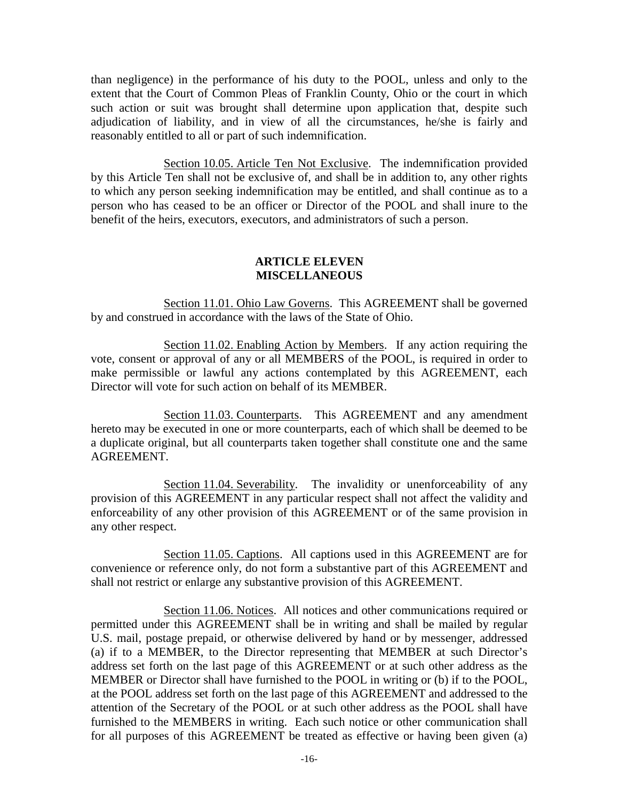than negligence) in the performance of his duty to the POOL, unless and only to the extent that the Court of Common Pleas of Franklin County, Ohio or the court in which such action or suit was brought shall determine upon application that, despite such adjudication of liability, and in view of all the circumstances, he/she is fairly and reasonably entitled to all or part of such indemnification.

Section 10.05. Article Ten Not Exclusive. The indemnification provided by this Article Ten shall not be exclusive of, and shall be in addition to, any other rights to which any person seeking indemnification may be entitled, and shall continue as to a person who has ceased to be an officer or Director of the POOL and shall inure to the benefit of the heirs, executors, executors, and administrators of such a person.

## **ARTICLE ELEVEN MISCELLANEOUS**

Section 11.01. Ohio Law Governs. This AGREEMENT shall be governed by and construed in accordance with the laws of the State of Ohio.

Section 11.02. Enabling Action by Members. If any action requiring the vote, consent or approval of any or all MEMBERS of the POOL, is required in order to make permissible or lawful any actions contemplated by this AGREEMENT, each Director will vote for such action on behalf of its MEMBER.

Section 11.03. Counterparts. This AGREEMENT and any amendment hereto may be executed in one or more counterparts, each of which shall be deemed to be a duplicate original, but all counterparts taken together shall constitute one and the same AGREEMENT.

Section 11.04. Severability. The invalidity or unenforceability of any provision of this AGREEMENT in any particular respect shall not affect the validity and enforceability of any other provision of this AGREEMENT or of the same provision in any other respect.

Section 11.05. Captions. All captions used in this AGREEMENT are for convenience or reference only, do not form a substantive part of this AGREEMENT and shall not restrict or enlarge any substantive provision of this AGREEMENT.

Section 11.06. Notices. All notices and other communications required or permitted under this AGREEMENT shall be in writing and shall be mailed by regular U.S. mail, postage prepaid, or otherwise delivered by hand or by messenger, addressed (a) if to a MEMBER, to the Director representing that MEMBER at such Director's address set forth on the last page of this AGREEMENT or at such other address as the MEMBER or Director shall have furnished to the POOL in writing or (b) if to the POOL, at the POOL address set forth on the last page of this AGREEMENT and addressed to the attention of the Secretary of the POOL or at such other address as the POOL shall have furnished to the MEMBERS in writing. Each such notice or other communication shall for all purposes of this AGREEMENT be treated as effective or having been given (a)